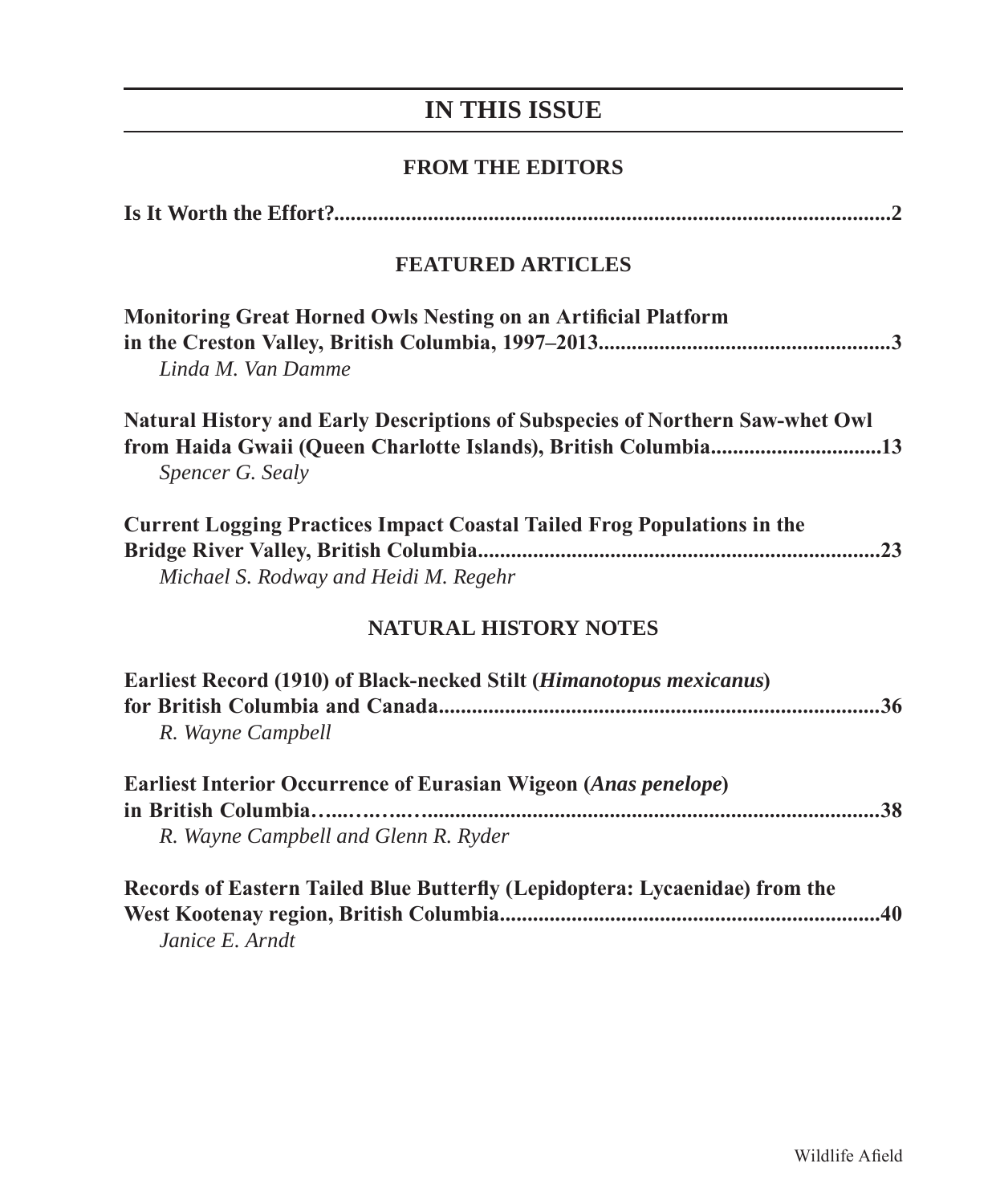# **IN THIS ISSUE**

## **FROM THE EDITORS**

| <b>FEATURED ARTICLES</b>                                                                                                                                            |
|---------------------------------------------------------------------------------------------------------------------------------------------------------------------|
| <b>Monitoring Great Horned Owls Nesting on an Artificial Platform</b><br>Linda M. Van Damme                                                                         |
| Natural History and Early Descriptions of Subspecies of Northern Saw-whet Owl<br>from Haida Gwaii (Queen Charlotte Islands), British Columbia13<br>Spencer G. Sealy |
| <b>Current Logging Practices Impact Coastal Tailed Frog Populations in the</b><br>Michael S. Rodway and Heidi M. Regehr                                             |
| <b>NATURAL HISTORY NOTES</b>                                                                                                                                        |
| Earliest Record (1910) of Black-necked Stilt (Himanotopus mexicanus)<br>R. Wayne Campbell                                                                           |
| <b>Earliest Interior Occurrence of Eurasian Wigeon (Anas penelope)</b><br>in British Columbia<br>R. Wayne Campbell and Glenn R. Ryder                               |
| Records of Eastern Tailed Blue Butterfly (Lepidoptera: Lycaenidae) from the<br>Janice E. Arndt                                                                      |